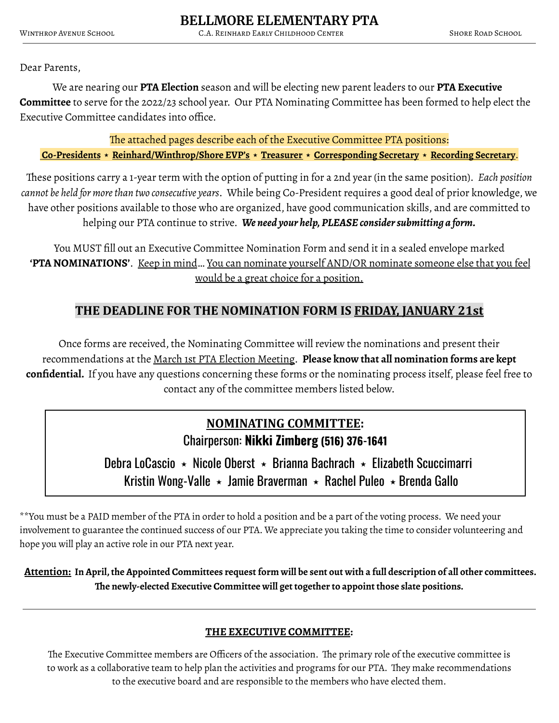Dear Parents,

We are nearing our **PTA Election** season and will be electing new parent leaders to our **PTA Executive Committee** to serve for the 2022/23 school year. Our PTA Nominating Committee has been formed to help elect the Executive Committee candidates into office.

The attached pages describe each of the Executive Committee PTA positions: **Co-Presidents** ⭑ **Reinhard/Winthrop/Shore EVP's** ⭑ **Treasurer** ⭑ **Corresponding Secretary** ⭑ **Recording Secretary**.

These positions carry a 1-year term with the option of putting in for a 2nd year (in the same position). *Each position cannot be held for morethan two consecutive years*. While being Co-President requires a good deal of prior knowledge, we have other positions available to those who are organized, have good communication skills, and are committed to helping our PTA continue to strive. *We need your help, PLEASE considersubmitting a form.*

You MUST fill out an Executive Committee Nomination Form and send it in a sealed envelope marked **'PTA NOMINATIONS'**. Keep in mind… You can nominate yourself AND/OR nominate someone else that you feel would be a great choice for a position.

### **THE DEADLINE FOR THE NOMINATION FORM IS FRIDAY, JANUARY 21st**

Once forms are received, the Nominating Committee will review the nominations and present their recommendations at the March 1st PTA Election Meeting. **Please know that all nomination forms are kept confidential.** If you have any questions concerning these forms or the nominating process itself, please feel free to contact any of the committee members listed below.

# **NOMINATING COMMITTEE:** Chairperson: **Nikki Zimberg (516) 376-1641**

Debra LoCascio  $\star$  Nicole Oberst  $\star$  Brianna Bachrach  $\star$  Elizabeth Scuccimarri Kristin Wong-Valle  $\star$  Jamie Braverman  $\star$  Rachel Puleo  $\star$  Brenda Gallo

\*\*You must be a PAID member of the PTA in order to hold a position and be a part of the voting process. We need your involvement to guarantee the continued success of our PTA. We appreciate you taking the time to consider volunteering and hope you will play an active role in our PTA next year.

Attention: In April, the Appointed Committees request form will be sent out with a full description of all other committees. **The newly-elected Executive Committee will get together to appoint those slate positions.**

#### **THE EXECUTIVE COMMITTEE:**

The Executive Committee members are Officers of the association. The primary role of the executive committee is to work as a collaborative team to help plan the activities and programs for our PTA. They make recommendations to the executive board and are responsible to the members who have elected them.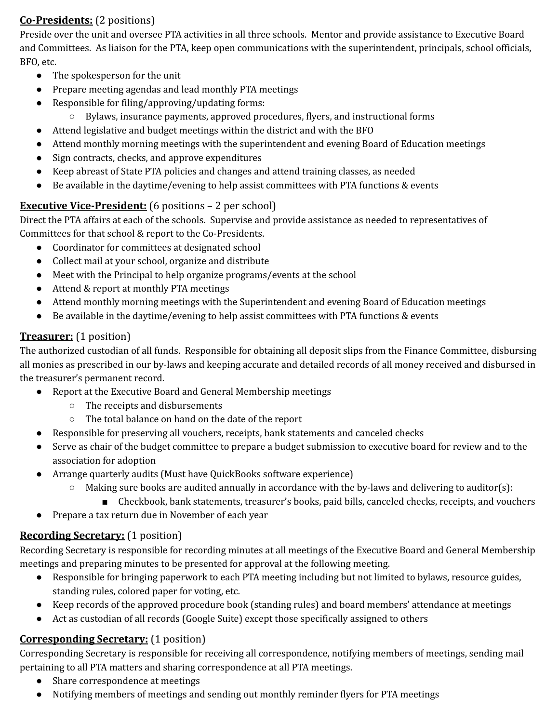### **Co-Presidents:** (2 positions)

Preside over the unit and oversee PTA activities in all three schools. Mentor and provide assistance to Executive Board and Committees. As liaison for the PTA, keep open communications with the superintendent, principals, school officials, BFO, etc.

- The spokesperson for the unit
- Prepare meeting agendas and lead monthly PTA meetings
- Responsible for filing/approving/updating forms:
	- Bylaws, insurance payments, approved procedures, flyers, and instructional forms
- Attend legislative and budget meetings within the district and with the BFO
- Attend monthly morning meetings with the superintendent and evening Board of Education meetings
- Sign contracts, checks, and approve expenditures
- Keep abreast of State PTA policies and changes and attend training classes, as needed
- Be available in the daytime/evening to help assist committees with PTA functions & events

#### **Executive Vice-President:** (6 positions – 2 per school)

Direct the PTA affairs at each of the schools. Supervise and provide assistance as needed to representatives of Committees for that school & report to the Co-Presidents.

- Coordinator for committees at designated school
- Collect mail at your school, organize and distribute
- Meet with the Principal to help organize programs/events at the school
- Attend & report at monthly PTA meetings
- Attend monthly morning meetings with the Superintendent and evening Board of Education meetings
- Be available in the daytime/evening to help assist committees with PTA functions & events

### **Treasurer:** (1 position)

The authorized custodian of all funds. Responsible for obtaining all deposit slips from the Finance Committee, disbursing all monies as prescribed in our by-laws and keeping accurate and detailed records of all money received and disbursed in the treasurer's permanent record.

- Report at the Executive Board and General Membership meetings
	- The receipts and disbursements
	- The total balance on hand on the date of the report
- Responsible for preserving all vouchers, receipts, bank statements and canceled checks
- Serve as chair of the budget committee to prepare a budget submission to executive board for review and to the association for adoption
- Arrange quarterly audits (Must have QuickBooks software experience)
	- $\circ$  Making sure books are audited annually in accordance with the by-laws and delivering to auditor(s):
		- Checkbook, bank statements, treasurer's books, paid bills, canceled checks, receipts, and vouchers
- Prepare a tax return due in November of each year

#### **Recording Secretary:** (1 position)

Recording Secretary is responsible for recording minutes at all meetings of the Executive Board and General Membership meetings and preparing minutes to be presented for approval at the following meeting.

- Responsible for bringing paperwork to each PTA meeting including but not limited to bylaws, resource guides, standing rules, colored paper for voting, etc.
- Keep records of the approved procedure book (standing rules) and board members' attendance at meetings
- Act as custodian of all records (Google Suite) except those specifically assigned to others

#### **Corresponding Secretary:** (1 position)

Corresponding Secretary is responsible for receiving all correspondence, notifying members of meetings, sending mail pertaining to all PTA matters and sharing correspondence at all PTA meetings.

- Share correspondence at meetings
- Notifying members of meetings and sending out monthly reminder flyers for PTA meetings